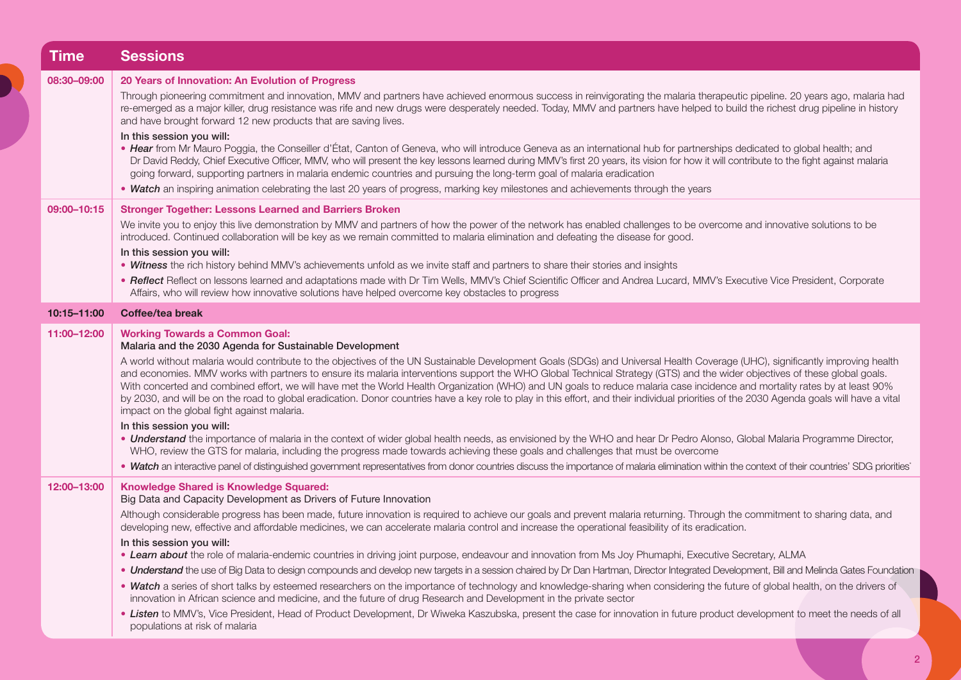| Time        | <b>Sessions</b>                                                                                                                                                                                                                                                                                                                                                                                                                                                                                                                                                                                                                                                                                                                                                                                                                                                                                                                                                                                                                                                                                                                                                                                                                                                                                                                                                                                                                               |
|-------------|-----------------------------------------------------------------------------------------------------------------------------------------------------------------------------------------------------------------------------------------------------------------------------------------------------------------------------------------------------------------------------------------------------------------------------------------------------------------------------------------------------------------------------------------------------------------------------------------------------------------------------------------------------------------------------------------------------------------------------------------------------------------------------------------------------------------------------------------------------------------------------------------------------------------------------------------------------------------------------------------------------------------------------------------------------------------------------------------------------------------------------------------------------------------------------------------------------------------------------------------------------------------------------------------------------------------------------------------------------------------------------------------------------------------------------------------------|
| 08:30-09:00 | 20 Years of Innovation: An Evolution of Progress<br>Through pioneering commitment and innovation, MMV and partners have achieved enormous success in reinvigorating the malaria therapeutic pipeline. 20 years ago, malaria had<br>re-emerged as a major killer, drug resistance was rife and new drugs were desperately needed. Today, MMV and partners have helped to build the richest drug pipeline in history<br>and have brought forward 12 new products that are saving lives.<br>In this session you will:<br>• Hear from Mr Mauro Poggia, the Conseiller d'État, Canton of Geneva, who will introduce Geneva as an international hub for partnerships dedicated to global health; and<br>Dr David Reddy, Chief Executive Officer, MMV, who will present the key lessons learned during MMV's first 20 years, its vision for how it will contribute to the fight against malaria<br>going forward, supporting partners in malaria endemic countries and pursuing the long-term goal of malaria eradication<br>. Watch an inspiring animation celebrating the last 20 years of progress, marking key milestones and achievements through the years                                                                                                                                                                                                                                                                                     |
| 09:00-10:15 | <b>Stronger Together: Lessons Learned and Barriers Broken</b><br>We invite you to enjoy this live demonstration by MMV and partners of how the power of the network has enabled challenges to be overcome and innovative solutions to be<br>introduced. Continued collaboration will be key as we remain committed to malaria elimination and defeating the disease for good.<br>In this session you will:<br>. Witness the rich history behind MMV's achievements unfold as we invite staff and partners to share their stories and insights<br>. Reflect Reflect on lessons learned and adaptations made with Dr Tim Wells, MMV's Chief Scientific Officer and Andrea Lucard, MMV's Executive Vice President, Corporate<br>Affairs, who will review how innovative solutions have helped overcome key obstacles to progress                                                                                                                                                                                                                                                                                                                                                                                                                                                                                                                                                                                                                 |
| 10:15-11:00 | Coffee/tea break                                                                                                                                                                                                                                                                                                                                                                                                                                                                                                                                                                                                                                                                                                                                                                                                                                                                                                                                                                                                                                                                                                                                                                                                                                                                                                                                                                                                                              |
| 11:00-12:00 | <b>Working Towards a Common Goal:</b><br>Malaria and the 2030 Agenda for Sustainable Development<br>A world without malaria would contribute to the objectives of the UN Sustainable Development Goals (SDGs) and Universal Health Coverage (UHC), significantly improving health<br>and economies. MMV works with partners to ensure its malaria interventions support the WHO Global Technical Strategy (GTS) and the wider objectives of these global goals.<br>With concerted and combined effort, we will have met the World Health Organization (WHO) and UN goals to reduce malaria case incidence and mortality rates by at least 90%<br>by 2030, and will be on the road to global eradication. Donor countries have a key role to play in this effort, and their individual priorities of the 2030 Agenda goals will have a vital<br>impact on the global fight against malaria.<br>In this session you will:<br>. Understand the importance of malaria in the context of wider global health needs, as envisioned by the WHO and hear Dr Pedro Alonso, Global Malaria Programme Director,<br>WHO, review the GTS for malaria, including the progress made towards achieving these goals and challenges that must be overcome<br>. Watch an interactive panel of distinguished government representatives from donor countries discuss the importance of malaria elimination within the context of their countries' SDG priorities' |
| 12:00-13:00 | <b>Knowledge Shared is Knowledge Squared:</b><br>Big Data and Capacity Development as Drivers of Future Innovation<br>Although considerable progress has been made, future innovation is required to achieve our goals and prevent malaria returning. Through the commitment to sharing data, and<br>developing new, effective and affordable medicines, we can accelerate malaria control and increase the operational feasibility of its eradication.<br>In this session you will:<br>• Learn about the role of malaria-endemic countries in driving joint purpose, endeavour and innovation from Ms Joy Phumaphi, Executive Secretary, ALMA<br>• Understand the use of Big Data to design compounds and develop new targets in a session chaired by Dr Dan Hartman, Director Integrated Development, Bill and Melinda Gates Foundation<br>. Watch a series of short talks by esteemed researchers on the importance of technology and knowledge-sharing when considering the future of global health, on the drivers of<br>innovation in African science and medicine, and the future of drug Research and Development in the private sector<br>. Listen to MMV's, Vice President, Head of Product Development, Dr Wiweka Kaszubska, present the case for innovation in future product development to meet the needs of all<br>populations at risk of malaria                                                                              |